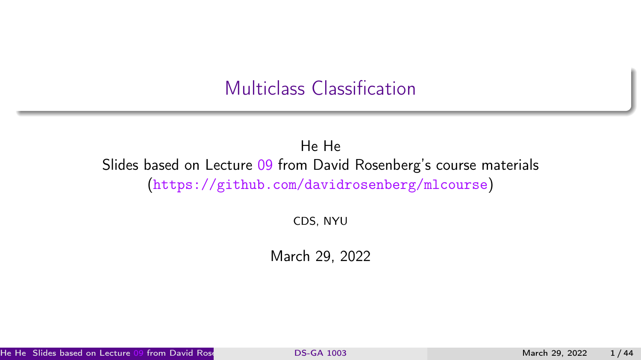#### Multiclass Classification

#### <span id="page-0-0"></span>He He Slides based on Lecture [09](https://github.com/davidrosenberg/mlcourse/blob/gh-pages/Lectures/09.multiclass.pdf) from David Rosenberg's course materials (<https://github.com/davidrosenberg/mlcourse>)

CDS, NYU

March 29, 2022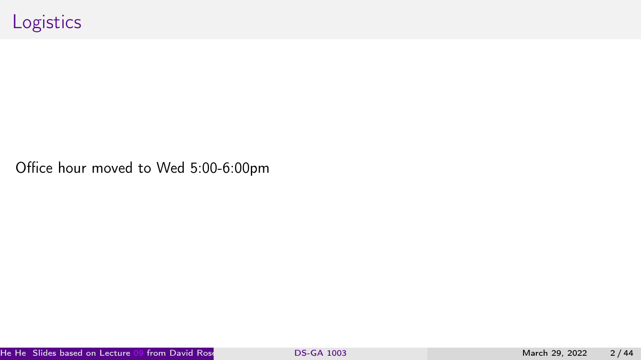Office hour moved to Wed 5:00-6:00pm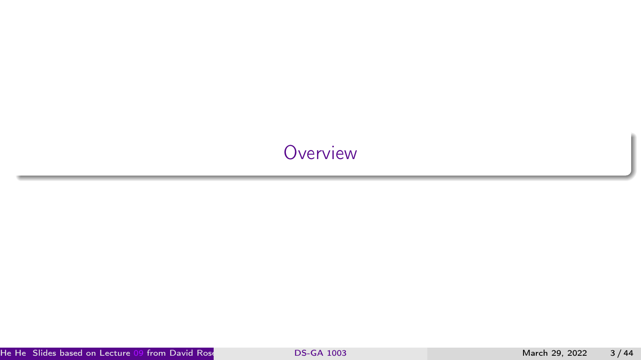# <span id="page-2-0"></span>**[Overview](#page-2-0)**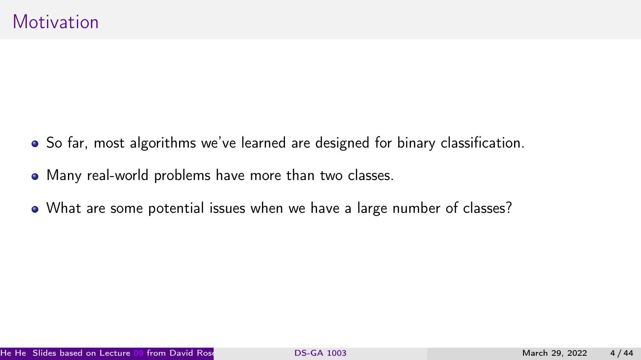- So far, most algorithms we've learned are designed for binary classification.
- Many real-world problems have more than two classes.
- What are some potential issues when we have a large number of classes?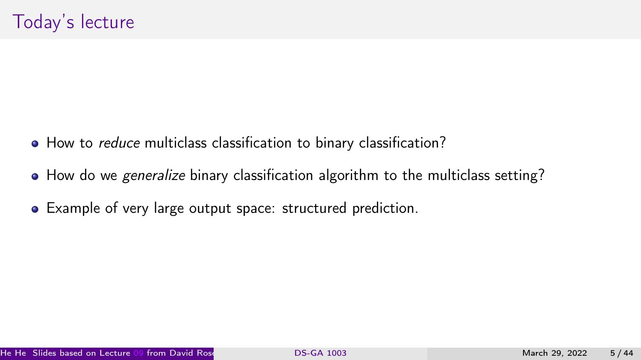- How to *reduce* multiclass classification to binary classification?
- How do we *generalize* binary classification algorithm to the multiclass setting?
- Example of very large output space: structured prediction.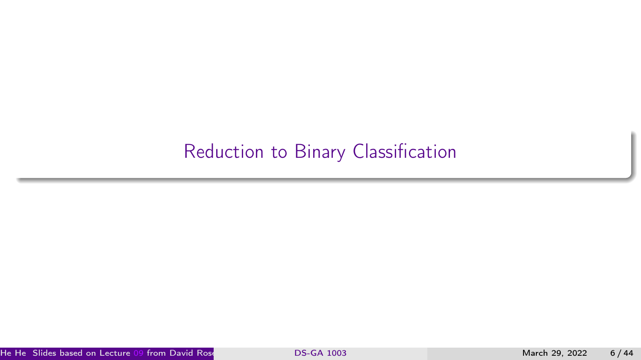## <span id="page-5-0"></span>[Reduction to Binary Classification](#page-5-0)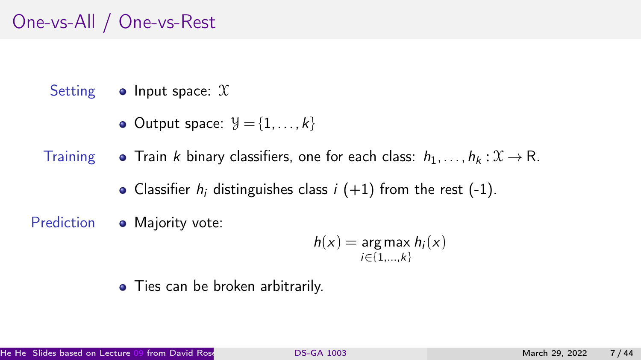# One-vs-All / One-vs-Rest

Setting  $\bullet$  Input space:  $\mathfrak X$ 

• Output space:  $\mathcal{Y} = \{1, \ldots, k\}$ 

Training  $\bullet$  Train k binary classifiers, one for each class:  $h_1, \ldots, h_k : \mathcal{X} \to \mathbb{R}$ .

- Classifier  $h_i$  distinguishes class  $i + 1$  from the rest  $(-1)$ .
- Prediction Majority vote:

$$
h(x) = \underset{i \in \{1, \ldots, k\}}{\arg \max} h_i(x)
$$

• Ties can be broken arbitrarily.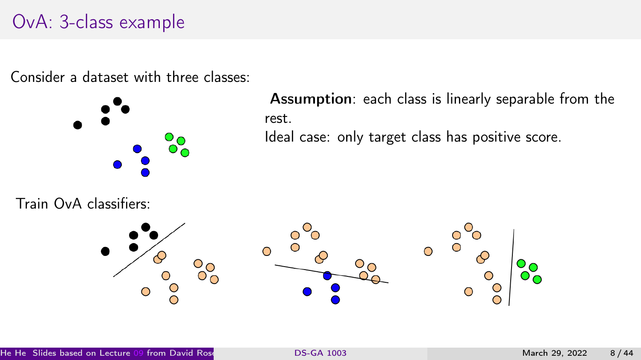## OvA: 3-class example

Consider a dataset with three classes:



Assumption: each class is linearly separable from the rest.

Ideal case: only target class has positive score.

Train OvA classifiers:

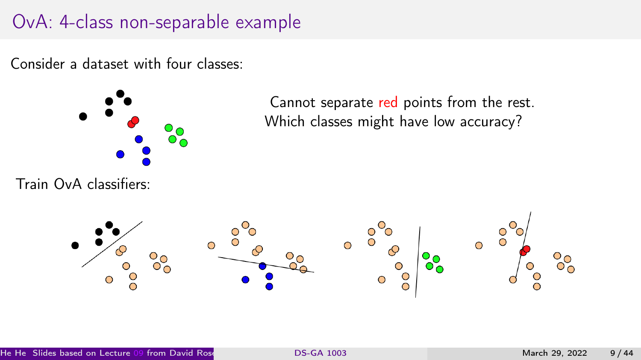## OvA: 4-class non-separable example

Consider a dataset with four classes:



Train OvA classifiers:

Cannot separate red points from the rest. Which classes might have low accuracy?

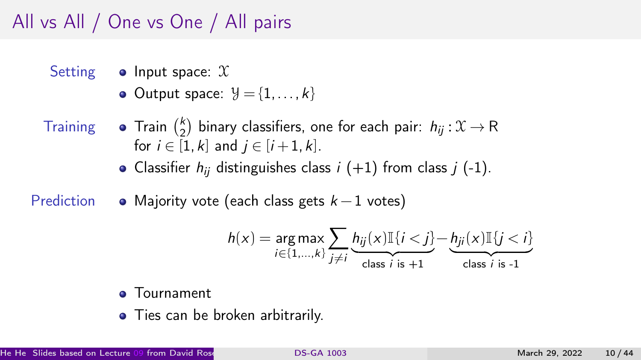# All vs All / One vs One / All pairs

- Setting  $\bullet$  Input space:  $\mathfrak X$ 
	- $\bullet$  Output space:  $\mathcal{Y} = \{1, \ldots, k\}$
- 
- Training **•** Train  $\binom{k}{2}$  $\binom{k}{2}$  binary classifiers, one for each pair:  $h_{ij}: \mathfrak{X} \rightarrow \mathsf{R}$ for  $i \in [1, k]$  and  $i \in [i + 1, k]$ .
	- Classifier  $h_{ii}$  distinguishes class  $i$  (+1) from class  $j$  (-1).
- Prediction  $\bullet$  Majority vote (each class gets  $k 1$  votes)

$$
h(x) = \underset{i \in \{1,\ldots,k\}}{\arg \max } \sum_{j \neq i} \underbrace{h_{ij}(x) \mathbb{I}\{i < j\}}_{\text{class } i \text{ is } +1} - \underbrace{h_{ji}(x) \mathbb{I}\{j < i\}}_{\text{class } i \text{ is } -1}
$$

#### **o** Tournament

• Ties can be broken arbitrarily.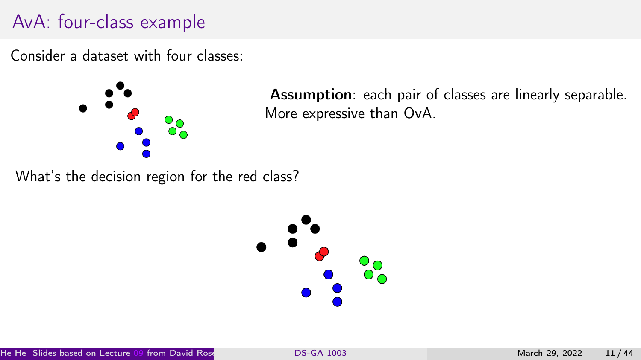# AvA: four-class example

Consider a dataset with four classes:



Assumption: each pair of classes are linearly separable. More expressive than OvA.

What's the decision region for the red class?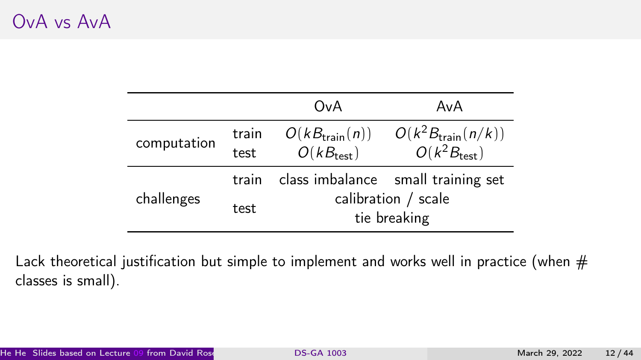## OvA vs AvA

|             |               | OvA                                                | AvA                                                      |
|-------------|---------------|----------------------------------------------------|----------------------------------------------------------|
| computation | train<br>test | $O(kB_{\text{train}}(n))$<br>$O(kB_{\text{test}})$ | $O(k^2B_{\text{train}}(n/k))$<br>$O(k^2B_{\text{test}})$ |
|             | train         |                                                    | class imbalance small training set                       |
| challenges  | test          | calibration / scale<br>tie breaking                |                                                          |

Lack theoretical justification but simple to implement and works well in practice (when  $#$ classes is small).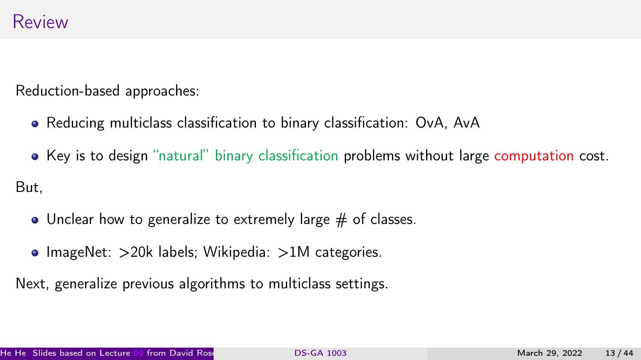Reduction-based approaches:

- Reducing multiclass classification to binary classification: OvA, AvA
- Key is to design "natural" binary classification problems without large computation cost. But,
	- $\bullet$  Unclear how to generalize to extremely large  $\#$  of classes.
	- ImageNet:  $>$ 20k labels; Wikipedia:  $>$ 1M categories.

Next, generalize previous algorithms to multiclass settings.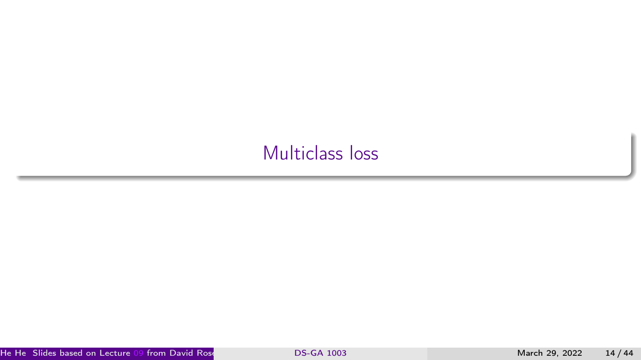# <span id="page-13-0"></span>[Multiclass loss](#page-13-0)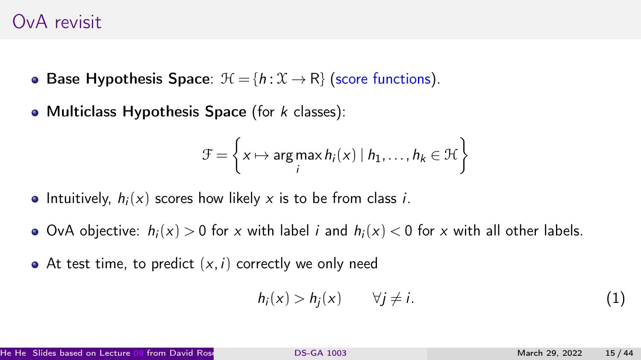#### OvA revisit

- Base Hypothesis Space:  $\mathcal{H} = \{h : \mathcal{X} \to \mathsf{R}\}\$  (score functions).
- Multiclass Hypothesis Space (for  $k$  classes):

$$
\mathcal{F} = \left\{ x \mapsto \argmax_{i} h_i(x) \mid h_1, \dots, h_k \in \mathcal{H} \right\}
$$

- Intuitively,  $h_i(x)$  scores how likely x is to be from class i.
- OvA objective:  $h_i(x) > 0$  for x with label i and  $h_i(x) < 0$  for x with all other labels.
- At test time, to predict  $(x, i)$  correctly we only need

$$
h_i(x) > h_j(x) \qquad \forall j \neq i. \tag{1}
$$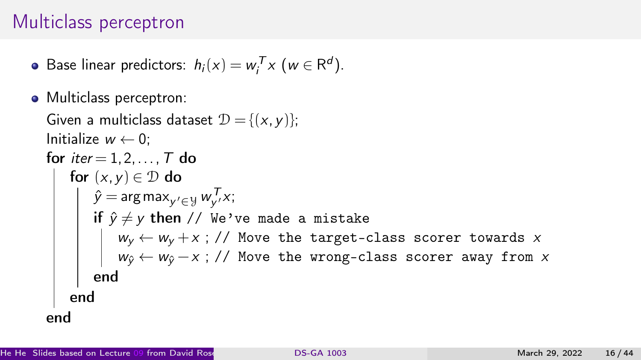## Multiclass perceptron

- Base linear predictors:  $h_i(x) = w_i^T x \ (w \in \mathbb{R}^d).$
- Multiclass perceptron:

```
Given a multiclass dataset \mathcal{D} = \{ (x, y) \};
Initialize w \leftarrow 0;
for iter = 1, 2, \ldots, T do
     for (x,y)\in\mathcal{D} do
         \hat{y} = \argmax_{y' \in \mathcal{Y}} w_{y'}^T x;if \hat{y} \neq y then // We've made a mistake
              w_y \leftarrow w_y + x ; // Move the target-class scorer towards xw_{\hat{y}} \leftarrow w_{\hat{y}} - x ; // Move the wrong-class scorer away from xend
    end
end
```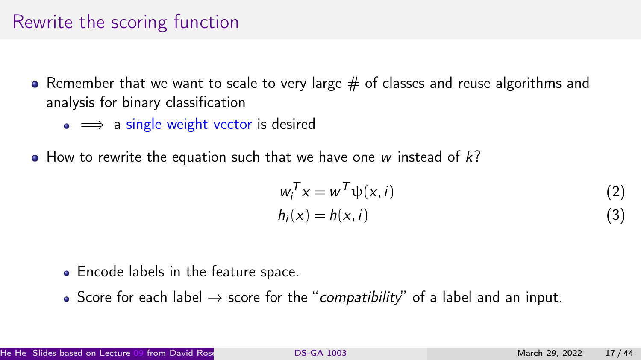#### Rewrite the scoring function

- Remember that we want to scale to very large  $#$  of classes and reuse algorithms and analysis for binary classification
	- $\bullet \implies$  a single weight vector is desired
- $\bullet$  How to rewrite the equation such that we have one w instead of  $k$ ?

$$
w_i^T x = w^T \psi(x, i)
$$
  
\n
$$
h_i(x) = h(x, i)
$$
\n(2)

- Encode labels in the feature space.
- Score for each label  $\rightarrow$  score for the "compatibility" of a label and an input.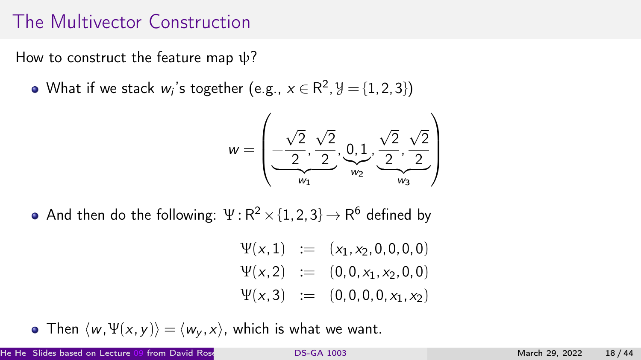## The Multivector Construction

How to construct the feature map  $\psi$ ?

What if we stack  $w_i$ 's together (e.g.,  $x\in{\sf R}^2,$   $\!\!\not\!{\rm J}=\{1,2,3\})$ 

$$
w=\left(\underbrace{-\frac{\sqrt{2}}{2},\frac{\sqrt{2}}{2}}_{w_1},\underbrace{0,1}_{w_2},\underbrace{\frac{\sqrt{2}}{2},\frac{\sqrt{2}}{2}}_{w_3}\right)
$$

And then do the following:  $\Psi$  :  $\mathsf{R}^2 \times \{1,2,3\} \mathbin{\rightarrow} \mathsf{R}^6$  defined by

$$
\Psi(x,1) := (x_1, x_2, 0, 0, 0, 0)
$$
  
\n
$$
\Psi(x,2) := (0, 0, x_1, x_2, 0, 0)
$$
  
\n
$$
\Psi(x,3) := (0, 0, 0, 0, x_1, x_2)
$$

• Then  $\langle w, \Psi(x, y) \rangle = \langle w_y, x \rangle$ , which is what we want.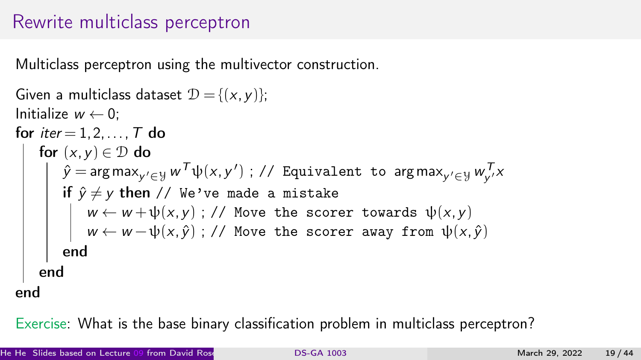## Rewrite multiclass perceptron

Multiclass perceptron using the multivector construction.

```
Given a multiclass dataset \mathcal{D} = \{ (x, v) \}:
Initialize w \leftarrow 0:
for iter = 1, 2, \ldots, T do
     for (x, y) \in \mathcal{D} do
          \hat{y} = arg max_{y' \in \mathcal{Y}} w^{\mathcal{T}} \psi(x,y') ; // Equivalent to arg max_{y' \in \mathcal{Y}} w_{y'}^{\mathcal{T}} xif \hat{y} \neq y then // We've made a mistake
               w \leftarrow w + \psi(x, y); // Move the scorer towards \psi(x, y)w \leftarrow w - \psi(x, \hat{y}); // Move the scorer away from \psi(x, \hat{y})end
     end
end
```
Exercise: What is the base binary classification problem in multiclass perceptron?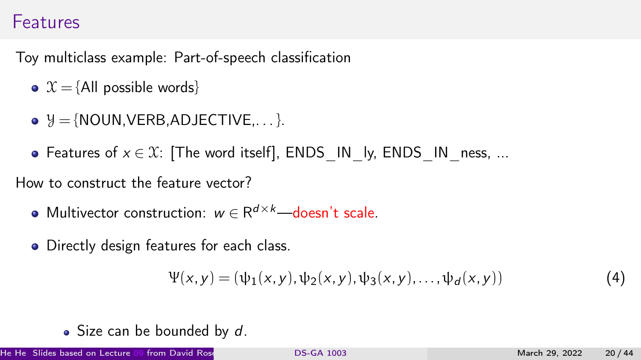#### Features

Toy multiclass example: Part-of-speech classification

- $X = \{All possible words\}$
- $\bullet$   $\mathcal{Y} = \{NOUN.VERB.ADJECTIVE... \}$ .
- Features of  $x \in \mathcal{X}$ : [The word itself], ENDS\_IN\_ly, ENDS\_IN\_ness, ...

How to construct the feature vector?

- Multivector construction:  $w \in R^{d \times k}$ —doesn't scale.
- **•** Directly design features for each class.

$$
\Psi(x, y) = (\psi_1(x, y), \psi_2(x, y), \psi_3(x, y), \dots, \psi_d(x, y))
$$
(4)

 $\bullet$  Size can be bounded by d.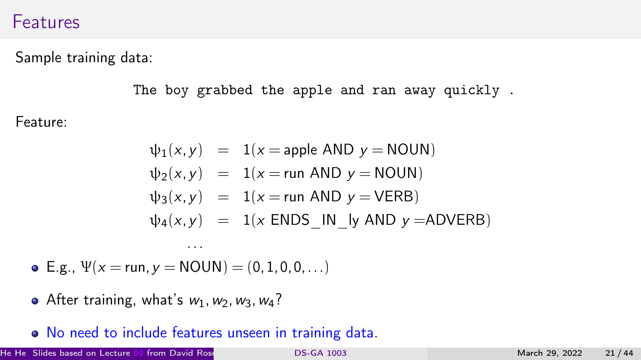#### Features

Sample training data:

The boy grabbed the apple and ran away quickly .

Feature:

$$
\psi_1(x, y) = 1(x = \text{apple AND } y = \text{NOUN})
$$
  
\n
$$
\psi_2(x, y) = 1(x = \text{run AND } y = \text{NOUN})
$$
  
\n
$$
\psi_3(x, y) = 1(x = \text{run AND } y = \text{VERB})
$$
  
\n
$$
\psi_4(x, y) = 1(x \text{ ENDS IN} \cup y \text{ AND } y = \text{ADVERB})
$$

• E.g.,  $\Psi(x = \text{run}, y = \text{NOUN}) = (0, 1, 0, 0, \ldots)$ 

...

- After training, what's  $w_1, w_2, w_3, w_4$ ?
- No need to include features unseen in training data.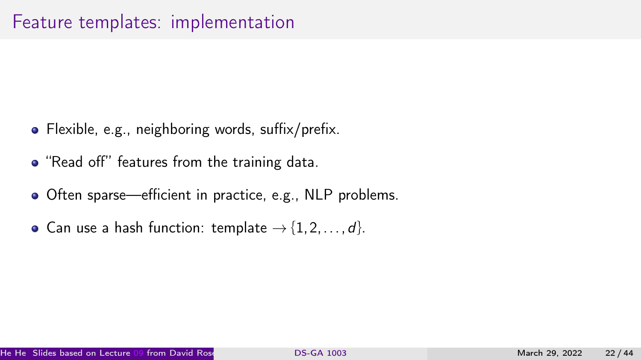#### Feature templates: implementation

- Flexible, e.g., neighboring words, suffix/prefix.
- "Read off" features from the training data.
- Often sparse—efficient in practice, e.g., NLP problems.
- Can use a hash function: template  $\rightarrow$  {1, 2, ..., d}.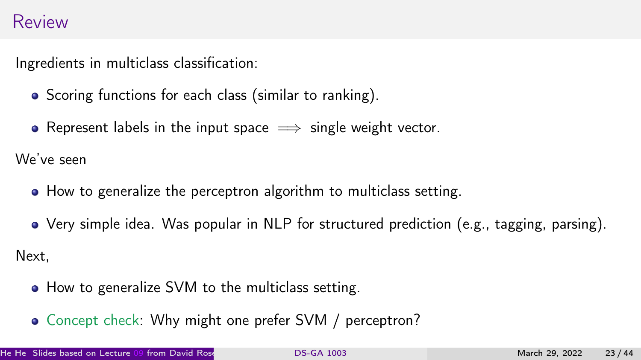#### Review

Ingredients in multiclass classification:

- Scoring functions for each class (similar to ranking).
- Represent labels in the input space  $\implies$  single weight vector.

We've seen

- How to generalize the perceptron algorithm to multiclass setting.
- Very simple idea. Was popular in NLP for structured prediction (e.g., tagging, parsing).

Next,

- How to generalize SVM to the multiclass setting.
- Concept check: Why might one prefer SVM / perceptron?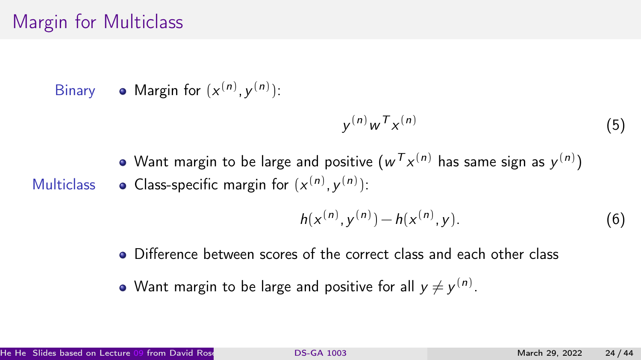## Margin for Multiclass

Binary • Margin for  $(x^{(n)}, y^{(n)})$ :

$$
y^{(n)}w^T x^{(n)} \tag{5}
$$

Want margin to be large and positive  $({w^{\mathcal{T}}x^{(n)}}$  has same sign as  $y^{(n)})$ Multiclass • Class-specific margin for  $(x^{(n)}, y^{(n)})$ :

$$
h(x^{(n)}, y^{(n)}) - h(x^{(n)}, y).
$$
 (6)

- Difference between scores of the correct class and each other class
- Want margin to be large and positive for all  $y\neq y^{(n)}.$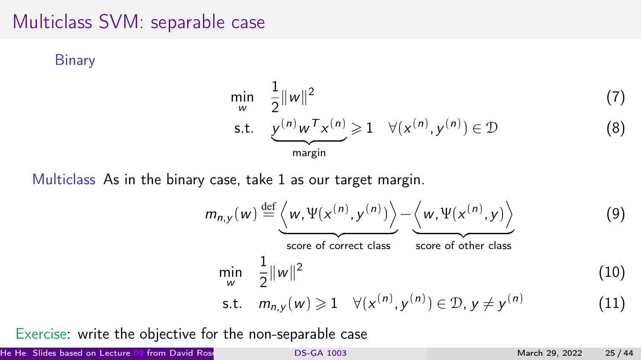#### Multiclass SVM: separable case

**Binary** 

$$
\min_{w} \quad \frac{1}{2} ||w||^2 \tag{7}
$$
\n
$$
\text{s.t.} \quad \underbrace{y^{(n)}w^T x^{(n)}}_{\text{margin}} \ge 1 \quad \forall (x^{(n)}, y^{(n)}) \in \mathcal{D} \tag{8}
$$

Multiclass As in the binary case, take 1 as our target margin.

$$
m_{n,y}(w) \stackrel{\text{def}}{=} \underbrace{\left\langle w, \Psi(x^{(n)}, y^{(n)}) \right\rangle}_{\text{score of correct class}} - \underbrace{\left\langle w, \Psi(x^{(n)}, y) \right\rangle}_{\text{score of other class}}
$$
(9)  
\n
$$
\min_{w} \frac{1}{2} ||w||^2
$$
(10)  
\n
$$
\text{s.t. } m_{n,y}(w) \ge 1 \quad \forall (x^{(n)}, y^{(n)}) \in \mathcal{D}, y \ne y^{(n)}
$$
(11)

Exercise: write the objective for the non-separable case

He He Slides based on Lecture [09](https://github.com/davidrosenberg/mlcourse/blob/gh-pages/Lectures/09.multiclass.pdf) from David Rosenberg's course materials ( [DS-GA 1003](#page-0-0) <https://github.com/davidrosenberg/mlcourse>) (CDS, NYU) March 29, 2022 25 / 44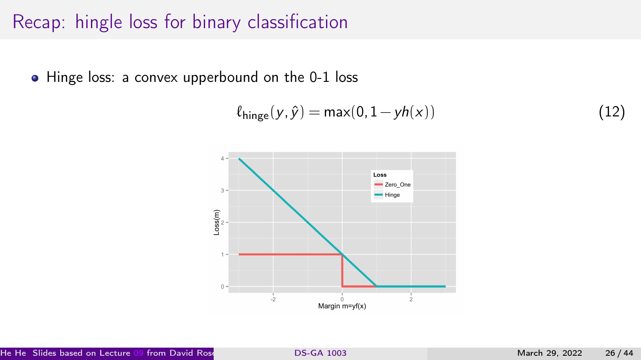# Recap: hingle loss for binary classification

• Hinge loss: a convex upperbound on the 0-1 loss

$$
\ell_{\text{hinge}}(y, \hat{y}) = \max(0, 1 - yh(x))\tag{12}
$$

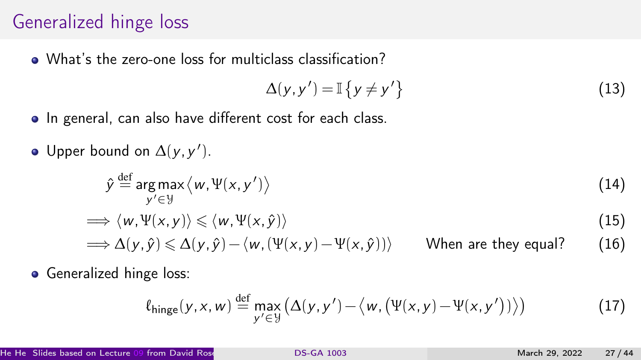## Generalized hinge loss

What's the zero-one loss for multiclass classification?

$$
\Delta(y, y') = \mathbb{I}\left\{y \neq y'\right\} \tag{13}
$$

- In general, can also have different cost for each class.
- Upper bound on  $\Delta(y, y')$ .

$$
\hat{y} \stackrel{\text{def}}{=} \arg \max_{y' \in \mathcal{Y}} \langle w, \Psi(x, y') \rangle \tag{14}
$$

$$
\implies \langle w, \Psi(x, y) \rangle \leq \langle w, \Psi(x, \hat{y}) \rangle \tag{15}
$$

$$
\implies \Delta(y,\hat{y}) \leq \Delta(y,\hat{y}) - \langle w, (\Psi(x,y) - \Psi(x,\hat{y})) \rangle \qquad \text{When are they equal?} \tag{16}
$$

**•** Generalized hinge loss:

$$
\ell_{\text{hinge}}(y, x, w) \stackrel{\text{def}}{=} \max_{y' \in \mathcal{Y}} \left( \Delta(y, y') - \langle w, (\Psi(x, y) - \Psi(x, y')) \rangle \right) \tag{17}
$$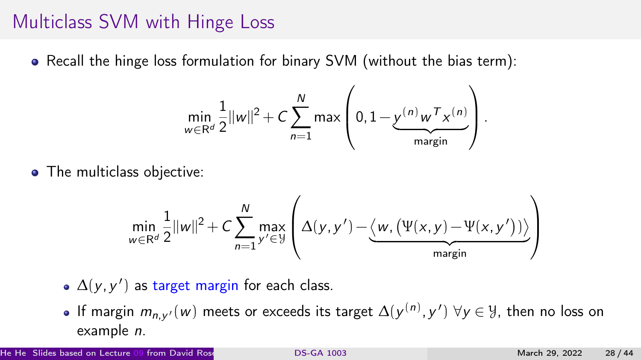#### Multiclass SVM with Hinge Loss

Recall the hinge loss formulation for binary SVM (without the bias term):

$$
\min_{w \in \mathbb{R}^d} \frac{1}{2} ||w||^2 + C \sum_{n=1}^N \max \left(0, 1 - \underbrace{y^{(n)}w^\mathsf{T} x^{(n)}}_{\text{margin}}\right).
$$

• The multiclass objective:

$$
\min_{w \in \mathbb{R}^d} \frac{1}{2} ||w||^2 + C \sum_{n=1}^N \max_{y' \in \mathcal{Y}} \left( \Delta(y, y') - \underbrace{\langle w, (\Psi(x, y) - \Psi(x, y')) \rangle}_{\text{margin}} \right)
$$

- $\Delta(y, y')$  as target margin for each class.
- If margin  $m_{n,\mathrm{y'}}(w)$  meets or exceeds its target  $\Delta(\mathrm{y}^{(n)},\mathrm{y}')\;\forall \mathrm{y}\in \mathcal{Y}$ , then no loss on example n.

He He Slides based on Lecture [09](https://github.com/davidrosenberg/mlcourse/blob/gh-pages/Lectures/09.multiclass.pdf) from David Rosenberg's course materials ( [DS-GA 1003](#page-0-0) <https://github.com/davidrosenberg/mlcourse>) (CDS, NYU) March 29, 2022 28 / 44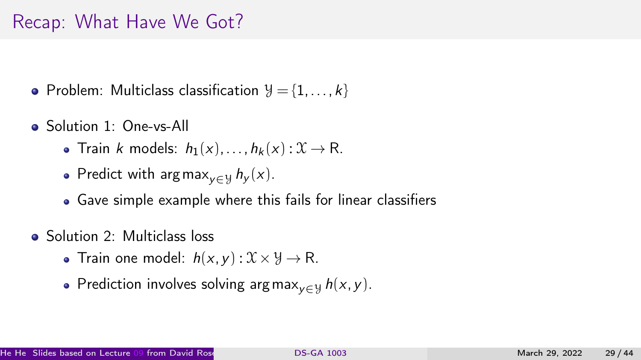## Recap: What Have We Got?

- Problem: Multiclass classification  $\mathcal{Y} = \{1, \ldots, k\}$
- Solution 1: One-vs-All
	- Train k models:  $h_1(x),...,h_k(x): \mathfrak{X} \to \mathbb{R}$ .
	- Predict with argmax<sub>v∈Y</sub>  $h_y(x)$ .
	- Gave simple example where this fails for linear classifiers
- Solution 2: Multiclass loss
	- Train one model:  $h(x, y) : \mathcal{X} \times \mathcal{Y} \rightarrow \mathbb{R}$ .
	- Prediction involves solving argmax<sub>v∈ y</sub>  $h(x, y)$ .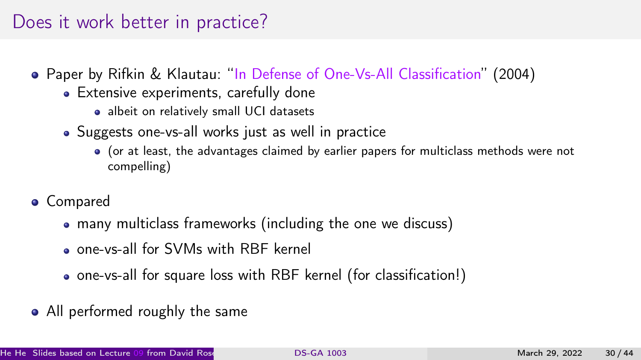## Does it work better in practice?

- Paper by Rifkin & Klautau: "[In Defense of One-Vs-All Classification"](http://www.jmlr.org/papers/v5/rifkin04a.html) (2004)
	- Extensive experiments, carefully done
		- albeit on relatively small UCI datasets
	- Suggests one-vs-all works just as well in practice
		- (or at least, the advantages claimed by earlier papers for multiclass methods were not compelling)
- **•** Compared
	- many multiclass frameworks (including the one we discuss)
	- one-vs-all for SVMs with RBF kernel
	- one-vs-all for square loss with RBF kernel (for classification!)
- All performed roughly the same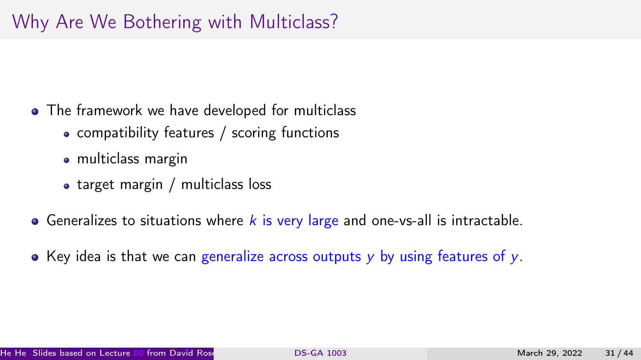# Why Are We Bothering with Multiclass?

- The framework we have developed for multiclass
	- compatibility features / scoring functions
	- multiclass margin
	- target margin / multiclass loss
- Generalizes to situations where  $k$  is very large and one-vs-all is intractable.
- $\bullet$  Key idea is that we can generalize across outputs y by using features of y.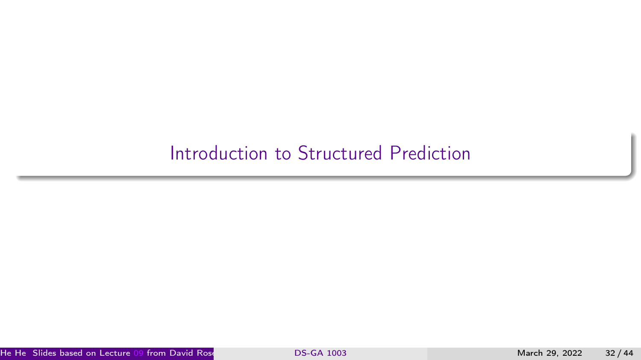## <span id="page-31-0"></span>[Introduction to Structured Prediction](#page-31-0)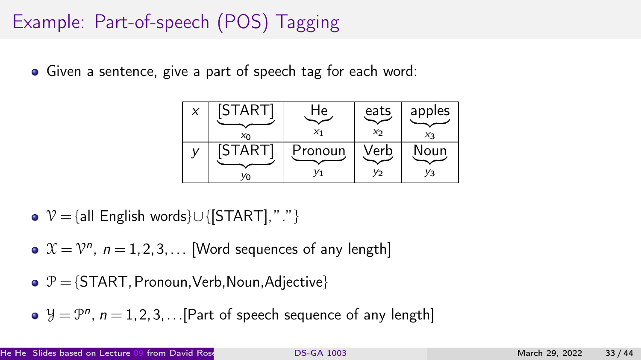# Example: Part-of-speech (POS) Tagging

Given a sentence, give a part of speech tag for each word:

| X | <b>START</b>  | ٦е      | eats           | apples |
|---|---------------|---------|----------------|--------|
|   | $x_0$         | X1      | $x_{2}$        | $X_3$  |
|   | <b>ISTART</b> | Pronoun | √erb           | Noun   |
|   |               |         | V <sub>2</sub> | Yз     |

- $\triangleright \ \mathcal{V} = \{ \text{all English words} \} \cup \{ \text{[STAT]}, \text{''."'} \}$
- $\mathfrak{X} = \mathfrak{V}^n$ ,  $n = 1, 2, 3, \ldots$  [Word sequences of any length]
- $\bullet \mathcal{P} = \{ \text{START}, \text{Pronoun}, \text{Verb}, \text{Noun}, \text{Adjective} \}$
- $\mathcal{Y} = \mathcal{P}^n$ ,  $n = 1, 2, 3, ...$  [Part of speech sequence of any length]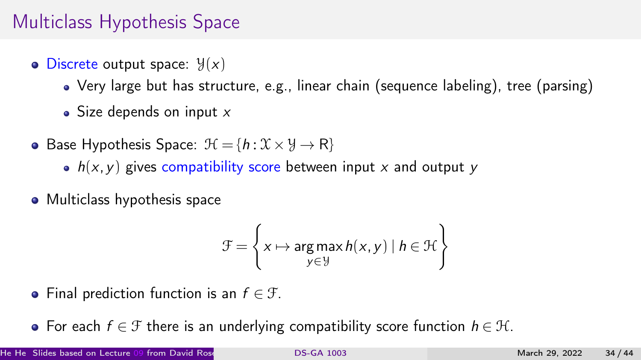# Multiclass Hypothesis Space

- $\bullet$  Discrete output space:  $\mathcal{Y}(x)$ 
	- Very large but has structure, e.g., linear chain (sequence labeling), tree (parsing)
	- Size depends on input  $x$
- Base Hypothesis Space:  $\mathcal{H} = \{h : \mathcal{X} \times \mathcal{Y} \rightarrow \mathbb{R}\}\$ 
	- $h(x, y)$  gives compatibility score between input x and output y
- Multiclass hypothesis space

$$
\mathcal{F} = \left\{ x \mapsto \underset{y \in \mathcal{Y}}{\arg \max} h(x, y) \mid h \in \mathcal{H} \right\}
$$

- Final prediction function is an  $f \in \mathcal{F}$ .
- For each  $f \in \mathcal{F}$  there is an underlying compatibility score function  $h \in \mathcal{H}$ .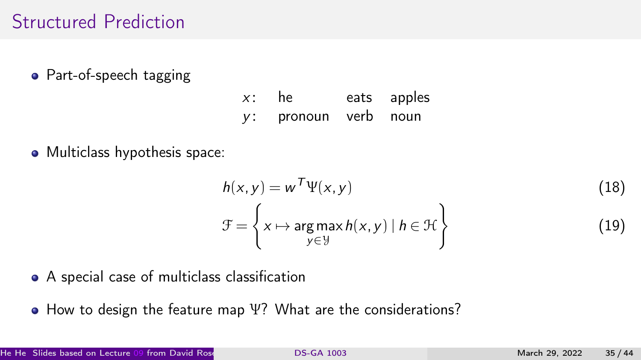## Structured Prediction

• Part-of-speech tagging

- $x$ : he eats apples y: pronoun verb noun
- Multiclass hypothesis space:

$$
h(x, y) = w^T \Psi(x, y)
$$
\n
$$
\mathcal{F} = \left\{ x \mapsto \underset{y \in \mathcal{Y}}{\arg \max} h(x, y) \mid h \in \mathcal{H} \right\}
$$
\n(18)

- A special case of multiclass classification
- How to design the feature map Ψ? What are the considerations?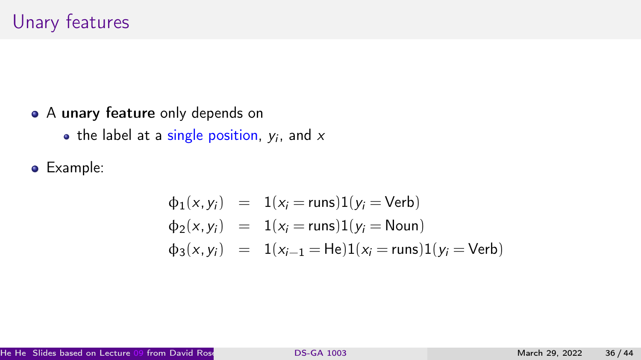- A unary feature only depends on
	- the label at a single position,  $y_i$ , and  $\boldsymbol{\mathsf{x}}$
- Example:

$$
\begin{array}{rcl}\n\Phi_1(x, y_i) & = & 1(x_i = \text{runs})1(y_i = \text{Verb}) \\
\Phi_2(x, y_i) & = & 1(x_i = \text{runs})1(y_i = \text{Noun}) \\
\Phi_3(x, y_i) & = & 1(x_{i-1} = \text{He})1(x_i = \text{runs})1(y_i = \text{Verb})\n\end{array}
$$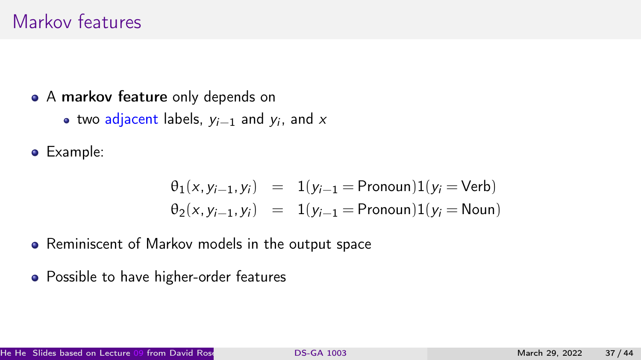#### Markov features

- A markov feature only depends on
	- two adjacent labels,  $y_{i-1}$  and  $y_i$ , and  $x$
- Example:

$$
\theta_1(x, y_{i-1}, y_i) = 1(y_{i-1} = \text{Pronoun})1(y_i = \text{Verb})
$$
  

$$
\theta_2(x, y_{i-1}, y_i) = 1(y_{i-1} = \text{Pronoun})1(y_i = \text{Noun})
$$

- Reminiscent of Markov models in the output space
- Possible to have higher-order features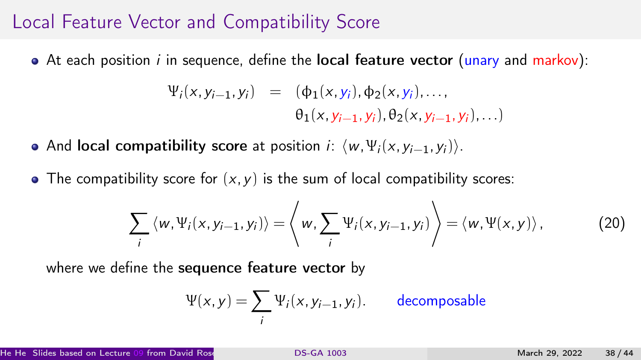#### Local Feature Vector and Compatibility Score

 $\bullet$  At each position *i* in sequence, define the **local feature vector** (unary and markov):

$$
\Psi_i(x, y_{i-1}, y_i) = (\phi_1(x, y_i), \phi_2(x, y_i), \dots, \n\theta_1(x, y_{i-1}, y_i), \theta_2(x, y_{i-1}, y_i), \dots)
$$

- And local compatibility score at position *i*:  $\langle w, \Psi_i(x, y_{i-1}, y_i) \rangle$ .
- The compatibility score for  $(x, y)$  is the sum of local compatibility scores:

$$
\sum_{i} \langle w, \Psi_{i}(x, y_{i-1}, y_{i}) \rangle = \left\langle w, \sum_{i} \Psi_{i}(x, y_{i-1}, y_{i}) \right\rangle = \left\langle w, \Psi(x, y) \right\rangle, \tag{20}
$$

where we define the sequence feature vector by

$$
\Psi(x, y) = \sum_{i} \Psi_i(x, y_{i-1}, y_i).
$$
 decomposable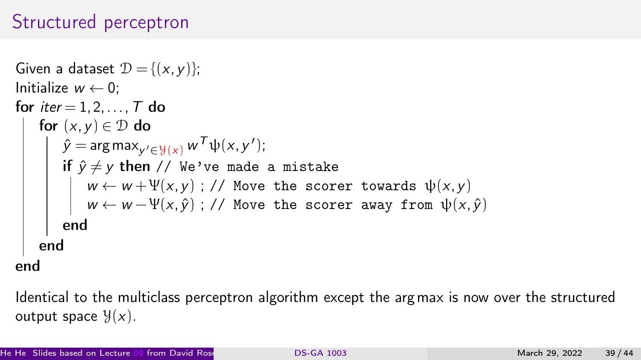# Structured perceptron

```
Given a dataset \mathcal{D} = \{ (x, y) \};Initialize w \leftarrow 0:
for iter = 1, 2, \ldots, T do
    for (x, y) \in \mathcal{D} do
          \hat{y} = \argmax_{y' \in \mathcal{Y}(x)} w^{\mathcal{T}} \psi(x, y');
          if \hat{y} \neq y then // We've made a mistake
               w \leftarrow w + \Psi(x, y); // Move the scorer towards \psi(x, y)w \leftarrow w - \Psi(x, \hat{y}); // Move the scorer away from \psi(x, \hat{y})end
     end
```
end

Identical to the multiclass perceptron algorithm except the argmax is now over the structured output space  $\mathcal{Y}(x)$ .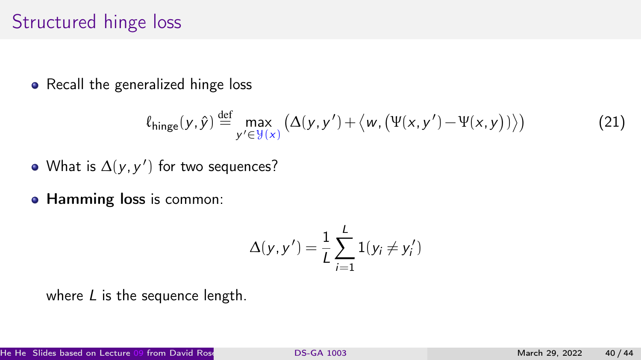#### Structured hinge loss

• Recall the generalized hinge loss

$$
\ell_{\text{hinge}}(y,\hat{y}) \stackrel{\text{def}}{=} \max_{y' \in \mathcal{Y}(x)} \left( \Delta(y,y') + \langle w, (\Psi(x,y') - \Psi(x,y)) \rangle \right) \tag{21}
$$

- What is  $\Delta(y, y')$  for two sequences?
- Hamming loss is common:

$$
\Delta(y, y') = \frac{1}{L} \sum_{i=1}^{L} 1(y_i \neq y'_i)
$$

where  $L$  is the sequence length.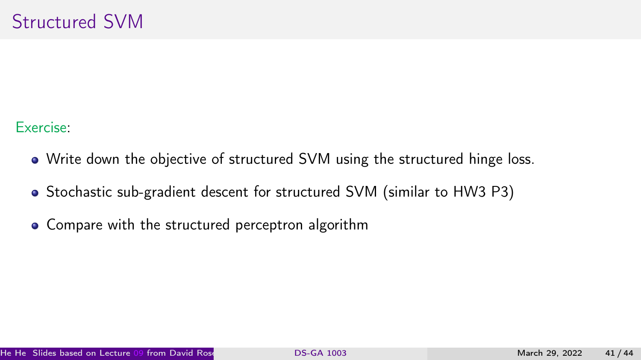Exercise:

- Write down the objective of structured SVM using the structured hinge loss.
- Stochastic sub-gradient descent for structured SVM (similar to HW3 P3)
- Compare with the structured perceptron algorithm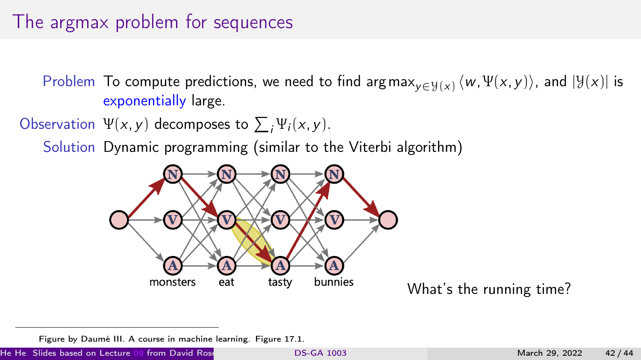# The argmax problem for sequences

Problem To compute predictions, we need to find argmax $_{y\in\mathcal{Y}(x)}\langle w,\Psi(x,y)\rangle$ , and  $|\mathcal{Y}(x)|$  is exponentially large.

Observation  $\Psi(x, y)$  decomposes to  $\sum_i \Psi_i(x, y)$ .

Solution Dynamic programming (similar to the Viterbi algorithm)



What's the running time?

Figure by Daumé III. A course in machine learning. Figure 17.1.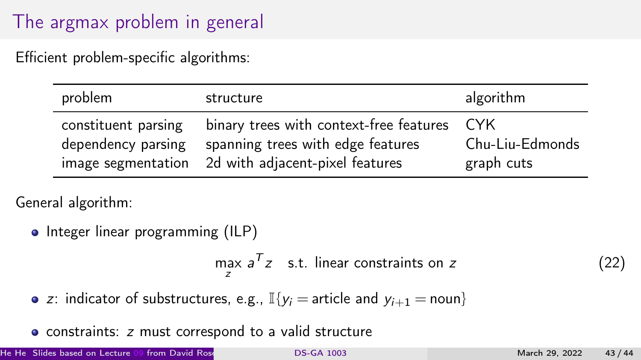# The argmax problem in general

Efficient problem-specific algorithms:

| problem                                   | structure                                                                                                                          | algorithm                             |
|-------------------------------------------|------------------------------------------------------------------------------------------------------------------------------------|---------------------------------------|
| constituent parsing<br>dependency parsing | binary trees with context-free features<br>spanning trees with edge features<br>image segmentation 2d with adjacent-pixel features | -CYK<br>Chu-Liu-Edmonds<br>graph cuts |

General algorithm:

• Integer linear programming (ILP)

$$
\max_{z} a^{T} z \quad \text{s.t. linear constraints on } z \tag{22}
$$

• z: indicator of substructures, e.g., 
$$
\mathbb{I}\{y_i = \text{article and } y_{i+1} = \text{noun}\}
$$

• constraints: *z* must correspond to a valid structure